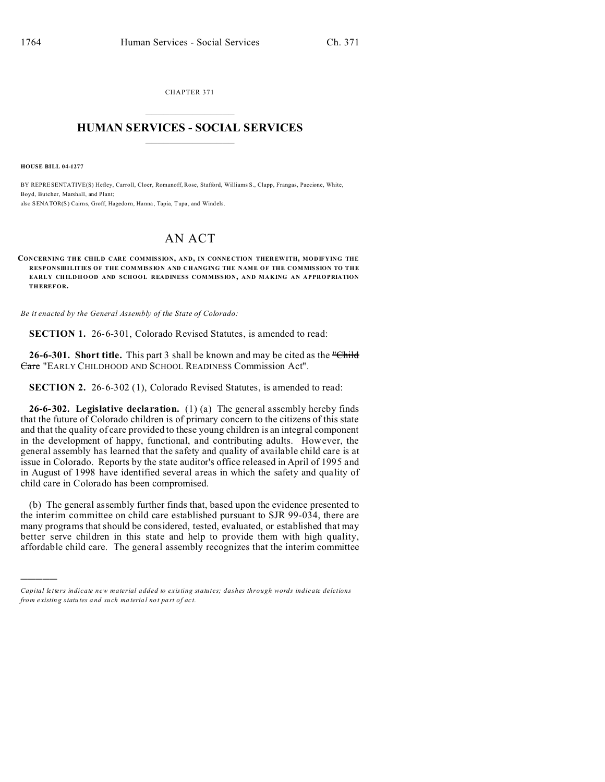CHAPTER 371  $\overline{\phantom{a}}$  , where  $\overline{\phantom{a}}$ 

## **HUMAN SERVICES - SOCIAL SERVICES**  $\_$   $\_$   $\_$   $\_$   $\_$   $\_$   $\_$   $\_$

**HOUSE BILL 04-1277**

)))))

BY REPRESENTATIVE(S) Hefley, Carroll, Cloer, Romanoff, Rose, Stafford, Williams S., Clapp, Frangas, Paccione, White, Boyd, Butcher, Marshall, and Plant; also SENATOR(S) Cairns, Groff, Hagedorn, Hanna , Tapia, Tupa , and Windels.

## AN ACT

**CONCERNING THE CHILD CARE COMMISSION, AND, IN CONNE CTION THER EWITH, MODIFYING THE RESPONSIBILITIES OF THE COMMISSION AND CHANGING THE NAME OF THE COMMISSION TO THE EARLY CH ILDHOOD AND SCHOOL READINESS COMMISSION, AND MAKING AN APPROPRIATION THEREFOR.**

*Be it enacted by the General Assembly of the State of Colorado:*

**SECTION 1.** 26-6-301, Colorado Revised Statutes, is amended to read:

26-6-301. Short title. This part 3 shall be known and may be cited as the "Child" Care "EARLY CHILDHOOD AND SCHOOL READINESS Commission Act".

**SECTION 2.** 26-6-302 (1), Colorado Revised Statutes, is amended to read:

**26-6-302. Legislative declaration.** (1) (a) The general assembly hereby finds that the future of Colorado children is of primary concern to the citizens of this state and that the quality of care provided to these young children is an integral component in the development of happy, functional, and contributing adults. However, the general assembly has learned that the safety and quality of available child care is at issue in Colorado. Reports by the state auditor's office released in April of 1995 and in August of 1998 have identified several areas in which the safety and quality of child care in Colorado has been compromised.

(b) The general assembly further finds that, based upon the evidence presented to the interim committee on child care established pursuant to SJR 99-034, there are many programs that should be considered, tested, evaluated, or established that may better serve children in this state and help to provide them with high quality, affordable child care. The general assembly recognizes that the interim committee

*Capital letters indicate new material added to existing statutes; dashes through words indicate deletions from e xistin g statu tes a nd such ma teria l no t pa rt of ac t.*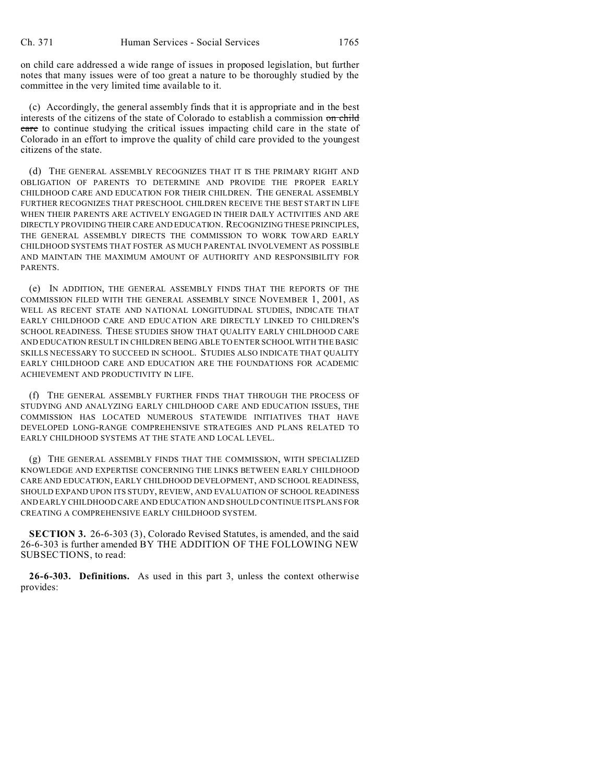on child care addressed a wide range of issues in proposed legislation, but further notes that many issues were of too great a nature to be thoroughly studied by the committee in the very limited time available to it.

(c) Accordingly, the general assembly finds that it is appropriate and in the best interests of the citizens of the state of Colorado to establish a commission on child care to continue studying the critical issues impacting child care in the state of Colorado in an effort to improve the quality of child care provided to the youngest citizens of the state.

(d) THE GENERAL ASSEMBLY RECOGNIZES THAT IT IS THE PRIMARY RIGHT AND OBLIGATION OF PARENTS TO DETERMINE AND PROVIDE THE PROPER EARLY CHILDHOOD CARE AND EDUCATION FOR THEIR CHILDREN. THE GENERAL ASSEMBLY FURTHER RECOGNIZES THAT PRESCHOOL CHILDREN RECEIVE THE BEST START IN LIFE WHEN THEIR PARENTS ARE ACTIVELY ENGAGED IN THEIR DAILY ACTIVITIES AND ARE DIRECTLY PROVIDING THEIR CARE AND EDUCATION. RECOGNIZING THESE PRINCIPLES, THE GENERAL ASSEMBLY DIRECTS THE COMMISSION TO WORK TOWARD EARLY CHILDHOOD SYSTEMS THAT FOSTER AS MUCH PARENTAL INVOLVEMENT AS POSSIBLE AND MAINTAIN THE MAXIMUM AMOUNT OF AUTHORITY AND RESPONSIBILITY FOR PARENTS.

(e) IN ADDITION, THE GENERAL ASSEMBLY FINDS THAT THE REPORTS OF THE COMMISSION FILED WITH THE GENERAL ASSEMBLY SINCE NOVEMBER 1, 2001, AS WELL AS RECENT STATE AND NATIONAL LONGITUDINAL STUDIES, INDICATE THAT EARLY CHILDHOOD CARE AND EDUCATION ARE DIRECTLY LINKED TO CHILDREN'S SCHOOL READINESS. THESE STUDIES SHOW THAT QUALITY EARLY CHILDHOOD CARE AND EDUCATION RESULT IN CHILDREN BEING ABLE TO ENTER SCHOOL WITH THE BASIC SKILLS NECESSARY TO SUCCEED IN SCHOOL. STUDIES ALSO INDICATE THAT QUALITY EARLY CHILDHOOD CARE AND EDUCATION ARE THE FOUNDATIONS FOR ACADEMIC ACHIEVEMENT AND PRODUCTIVITY IN LIFE.

(f) THE GENERAL ASSEMBLY FURTHER FINDS THAT THROUGH THE PROCESS OF STUDYING AND ANALYZING EARLY CHILDHOOD CARE AND EDUCATION ISSUES, THE COMMISSION HAS LOCATED NUMEROUS STATEWIDE INITIATIVES THAT HAVE DEVELOPED LONG-RANGE COMPREHENSIVE STRATEGIES AND PLANS RELATED TO EARLY CHILDHOOD SYSTEMS AT THE STATE AND LOCAL LEVEL.

(g) THE GENERAL ASSEMBLY FINDS THAT THE COMMISSION, WITH SPECIALIZED KNOWLEDGE AND EXPERTISE CONCERNING THE LINKS BETWEEN EARLY CHILDHOOD CARE AND EDUCATION, EARLY CHILDHOOD DEVELOPMENT, AND SCHOOL READINESS, SHOULD EXPAND UPON ITS STUDY, REVIEW, AND EVALUATION OF SCHOOL READINESS AND EARLY CHILDHOOD CARE AND EDUCATION AND SHOULD CONTINUE ITS PLANS FOR CREATING A COMPREHENSIVE EARLY CHILDHOOD SYSTEM.

**SECTION 3.** 26-6-303 (3), Colorado Revised Statutes, is amended, and the said 26-6-303 is further amended BY THE ADDITION OF THE FOLLOWING NEW SUBSECTIONS, to read:

**26-6-303. Definitions.** As used in this part 3, unless the context otherwise provides: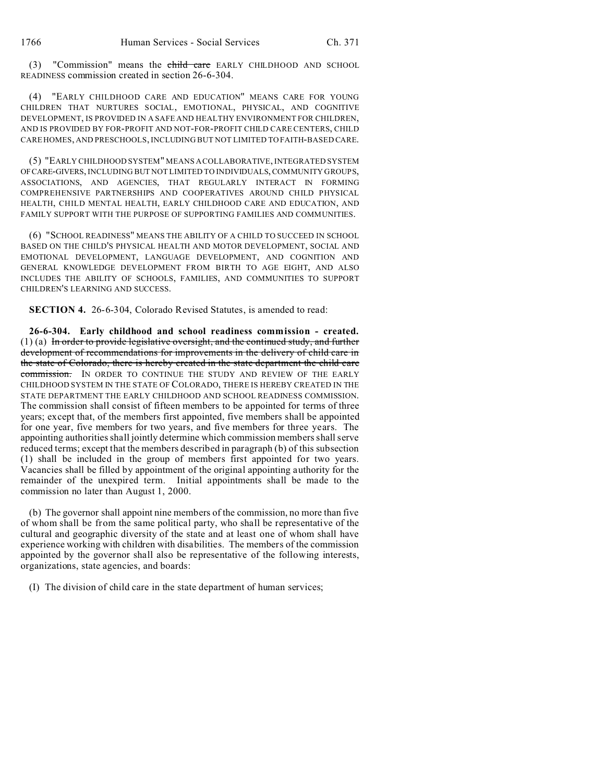(3) "Commission" means the child care EARLY CHILDHOOD AND SCHOOL READINESS commission created in section 26-6-304.

(4) "EARLY CHILDHOOD CARE AND EDUCATION" MEANS CARE FOR YOUNG CHILDREN THAT NURTURES SOCIAL, EMOTIONAL, PHYSICAL, AND COGNITIVE DEVELOPMENT, IS PROVIDED IN A SAFE AND HEALTHY ENVIRONMENT FOR CHILDREN, AND IS PROVIDED BY FOR-PROFIT AND NOT-FOR-PROFIT CHILD CARE CENTERS, CHILD CARE HOMES, AND PRESCHOOLS, INCLUDING BUT NOT LIMITED TO FAITH-BASED CARE.

(5) "EARLY CHILDHOOD SYSTEM" MEANS A COLLABORATIVE, INTEGRATED SYSTEM OFCARE-GIVERS, INCLUDING BUT NOT LIMITED TO INDIVIDUALS, COMMUNITY GROUPS, ASSOCIATIONS, AND AGENCIES, THAT REGULARLY INTERACT IN FORMING COMPREHENSIVE PARTNERSHIPS AND COOPERATIVES AROUND CHILD PHYSICAL HEALTH, CHILD MENTAL HEALTH, EARLY CHILDHOOD CARE AND EDUCATION, AND FAMILY SUPPORT WITH THE PURPOSE OF SUPPORTING FAMILIES AND COMMUNITIES.

(6) "SCHOOL READINESS" MEANS THE ABILITY OF A CHILD TO SUCCEED IN SCHOOL BASED ON THE CHILD'S PHYSICAL HEALTH AND MOTOR DEVELOPMENT, SOCIAL AND EMOTIONAL DEVELOPMENT, LANGUAGE DEVELOPMENT, AND COGNITION AND GENERAL KNOWLEDGE DEVELOPMENT FROM BIRTH TO AGE EIGHT, AND ALSO INCLUDES THE ABILITY OF SCHOOLS, FAMILIES, AND COMMUNITIES TO SUPPORT CHILDREN'S LEARNING AND SUCCESS.

**SECTION 4.** 26-6-304, Colorado Revised Statutes, is amended to read:

**26-6-304. Early childhood and school readiness commission - created.** (1) (a) In order to provide legislative oversight, and the continued study, and further development of recommendations for improvements in the delivery of child care in the state of Colorado, there is hereby created in the state department the child care commission. IN ORDER TO CONTINUE THE STUDY AND REVIEW OF THE EARLY CHILDHOOD SYSTEM IN THE STATE OF COLORADO, THERE IS HEREBY CREATED IN THE STATE DEPARTMENT THE EARLY CHILDHOOD AND SCHOOL READINESS COMMISSION. The commission shall consist of fifteen members to be appointed for terms of three years; except that, of the members first appointed, five members shall be appointed for one year, five members for two years, and five members for three years. The appointing authorities shall jointly determine which commission members shall serve reduced terms; except that the members described in paragraph (b) of this subsection (1) shall be included in the group of members first appointed for two years. Vacancies shall be filled by appointment of the original appointing authority for the remainder of the unexpired term. Initial appointments shall be made to the commission no later than August 1, 2000.

(b) The governor shall appoint nine members of the commission, no more than five of whom shall be from the same political party, who shall be representative of the cultural and geographic diversity of the state and at least one of whom shall have experience working with children with disabilities. The members of the commission appointed by the governor shall also be representative of the following interests, organizations, state agencies, and boards:

(I) The division of child care in the state department of human services;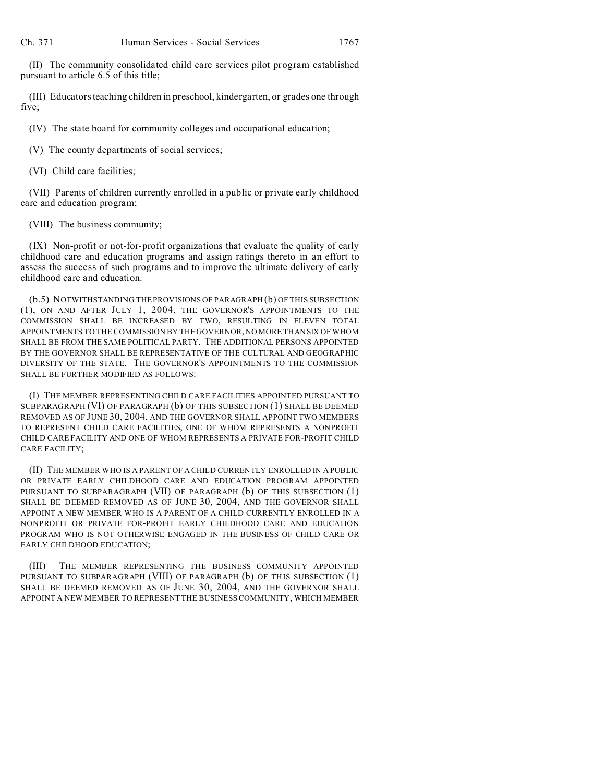(II) The community consolidated child care services pilot program established pursuant to article 6.5 of this title;

(III) Educators teaching children in preschool, kindergarten, or grades one through five;

(IV) The state board for community colleges and occupational education;

(V) The county departments of social services;

(VI) Child care facilities;

(VII) Parents of children currently enrolled in a public or private early childhood care and education program;

(VIII) The business community;

(IX) Non-profit or not-for-profit organizations that evaluate the quality of early childhood care and education programs and assign ratings thereto in an effort to assess the success of such programs and to improve the ultimate delivery of early childhood care and education.

(b.5) NOTWITHSTANDING THE PROVISIONS OF PARAGRAPH (b) OF THIS SUBSECTION (1), ON AND AFTER JULY 1, 2004, THE GOVERNOR'S APPOINTMENTS TO THE COMMISSION SHALL BE INCREASED BY TWO, RESULTING IN ELEVEN TOTAL APPOINTMENTS TO THE COMMISSION BY THE GOVERNOR, NO MORE THAN SIX OF WHOM SHALL BE FROM THE SAME POLITICAL PARTY. THE ADDITIONAL PERSONS APPOINTED BY THE GOVERNOR SHALL BE REPRESENTATIVE OF THE CULTURAL AND GEOGRAPHIC DIVERSITY OF THE STATE. THE GOVERNOR'S APPOINTMENTS TO THE COMMISSION SHALL BE FURTHER MODIFIED AS FOLLOWS:

(I) THE MEMBER REPRESENTING CHILD CARE FACILITIES APPOINTED PURSUANT TO SUBPARAGRAPH (VI) OF PARAGRAPH (b) OF THIS SUBSECTION (1) SHALL BE DEEMED REMOVED AS OF JUNE 30, 2004, AND THE GOVERNOR SHALL APPOINT TWO MEMBERS TO REPRESENT CHILD CARE FACILITIES, ONE OF WHOM REPRESENTS A NONPROFIT CHILD CARE FACILITY AND ONE OF WHOM REPRESENTS A PRIVATE FOR-PROFIT CHILD CARE FACILITY;

(II) THE MEMBER WHO IS A PARENT OF A CHILD CURRENTLY ENROLLED IN A PUBLIC OR PRIVATE EARLY CHILDHOOD CARE AND EDUCATION PROGRAM APPOINTED PURSUANT TO SUBPARAGRAPH (VII) OF PARAGRAPH (b) OF THIS SUBSECTION (1) SHALL BE DEEMED REMOVED AS OF JUNE 30, 2004, AND THE GOVERNOR SHALL APPOINT A NEW MEMBER WHO IS A PARENT OF A CHILD CURRENTLY ENROLLED IN A NONPROFIT OR PRIVATE FOR-PROFIT EARLY CHILDHOOD CARE AND EDUCATION PROGRAM WHO IS NOT OTHERWISE ENGAGED IN THE BUSINESS OF CHILD CARE OR EARLY CHILDHOOD EDUCATION;

(III) THE MEMBER REPRESENTING THE BUSINESS COMMUNITY APPOINTED PURSUANT TO SUBPARAGRAPH (VIII) OF PARAGRAPH (b) OF THIS SUBSECTION (1) SHALL BE DEEMED REMOVED AS OF JUNE 30, 2004, AND THE GOVERNOR SHALL APPOINT A NEW MEMBER TO REPRESENT THE BUSINESS COMMUNITY, WHICH MEMBER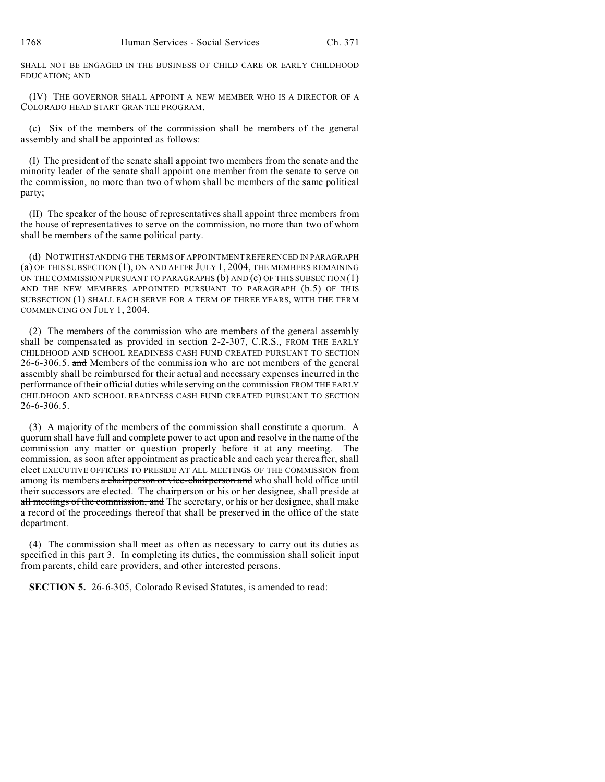SHALL NOT BE ENGAGED IN THE BUSINESS OF CHILD CARE OR EARLY CHILDHOOD EDUCATION; AND

(IV) THE GOVERNOR SHALL APPOINT A NEW MEMBER WHO IS A DIRECTOR OF A COLORADO HEAD START GRANTEE PROGRAM.

(c) Six of the members of the commission shall be members of the general assembly and shall be appointed as follows:

(I) The president of the senate shall appoint two members from the senate and the minority leader of the senate shall appoint one member from the senate to serve on the commission, no more than two of whom shall be members of the same political party;

(II) The speaker of the house of representatives shall appoint three members from the house of representatives to serve on the commission, no more than two of whom shall be members of the same political party.

(d) NOTWITHSTANDING THE TERMS OF APPOINTMENT REFERENCED IN PARAGRAPH (a) OF THIS SUBSECTION (1), ON AND AFTER JULY 1, 2004, THE MEMBERS REMAINING ON THE COMMISSION PURSUANT TO PARAGRAPHS (b) AND (c) OF THIS SUBSECTION (1) AND THE NEW MEMBERS APPOINTED PURSUANT TO PARAGRAPH (b.5) OF THIS SUBSECTION (1) SHALL EACH SERVE FOR A TERM OF THREE YEARS, WITH THE TERM COMMENCING ON JULY 1, 2004.

(2) The members of the commission who are members of the general assembly shall be compensated as provided in section 2-2-307, C.R.S., FROM THE EARLY CHILDHOOD AND SCHOOL READINESS CASH FUND CREATED PURSUANT TO SECTION 26-6-306.5. and Members of the commission who are not members of the general assembly shall be reimbursed for their actual and necessary expenses incurred in the performance of their official duties while serving on the commission FROM THE EARLY CHILDHOOD AND SCHOOL READINESS CASH FUND CREATED PURSUANT TO SECTION 26-6-306.5.

(3) A majority of the members of the commission shall constitute a quorum. A quorum shall have full and complete power to act upon and resolve in the name of the commission any matter or question properly before it at any meeting. The commission, as soon after appointment as practicable and each year thereafter, shall elect EXECUTIVE OFFICERS TO PRESIDE AT ALL MEETINGS OF THE COMMISSION from among its members a chairperson or vice-chairperson and who shall hold office until their successors are elected. The chairperson or his or her designee, shall preside at all meetings of the commission, and The secretary, or his or her designee, shall make a record of the proceedings thereof that shall be preserved in the office of the state department.

(4) The commission shall meet as often as necessary to carry out its duties as specified in this part 3. In completing its duties, the commission shall solicit input from parents, child care providers, and other interested persons.

**SECTION 5.** 26-6-305, Colorado Revised Statutes, is amended to read: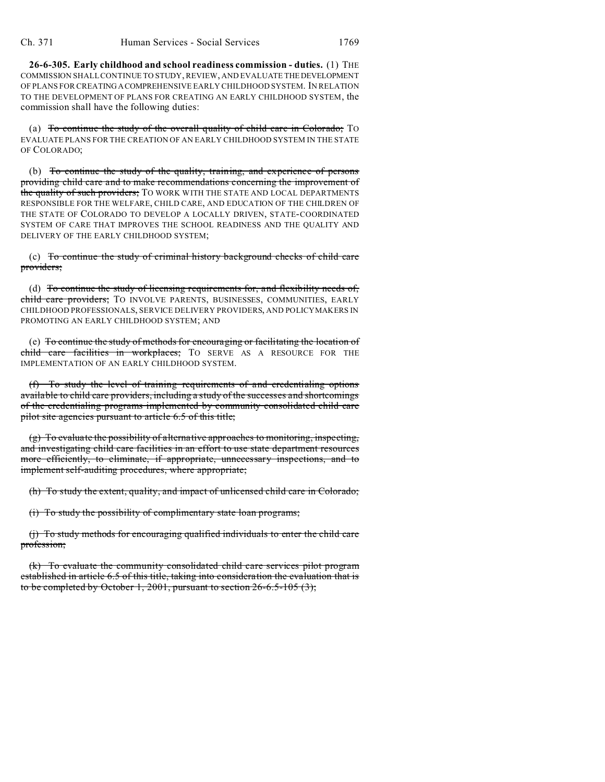**26-6-305. Early childhood and school readiness commission - duties.** (1) THE COMMISSION SHALL CONTINUE TO STUDY, REVIEW, AND EVALUATE THEDEVELOPMENT OF PLANS FOR CREATING ACOMPREHENSIVE EARLY CHILDHOOD SYSTEM. IN RELATION TO THE DEVELOPMENT OF PLANS FOR CREATING AN EARLY CHILDHOOD SYSTEM, the commission shall have the following duties:

(a) To continue the study of the overall quality of child care in Colorado; TO EVALUATE PLANS FOR THE CREATION OF AN EARLY CHILDHOOD SYSTEM IN THE STATE OF COLORADO;

(b) To continue the study of the quality, training, and experience of persons providing child care and to make recommendations concerning the improvement of the quality of such providers; TO WORK WITH THE STATE AND LOCAL DEPARTMENTS RESPONSIBLE FOR THE WELFARE, CHILD CARE, AND EDUCATION OF THE CHILDREN OF THE STATE OF COLORADO TO DEVELOP A LOCALLY DRIVEN, STATE-COORDINATED SYSTEM OF CARE THAT IMPROVES THE SCHOOL READINESS AND THE QUALITY AND DELIVERY OF THE EARLY CHILDHOOD SYSTEM;

(c) To continue the study of criminal history background checks of child care providers;

(d) To continue the study of licensing requirements for, and flexibility needs of, child care providers; TO INVOLVE PARENTS, BUSINESSES, COMMUNITIES, EARLY CHILDHOOD PROFESSIONALS, SERVICE DELIVERY PROVIDERS, AND POLICYMAKERS IN PROMOTING AN EARLY CHILDHOOD SYSTEM; AND

(e) To continue the study of methods for encouraging or facilitating the location of child care facilities in workplaces; TO SERVE AS A RESOURCE FOR THE IMPLEMENTATION OF AN EARLY CHILDHOOD SYSTEM.

(f) To study the level of training requirements of and credentialing options available to child care providers, including a study of the successes and shortcomings of the credentialing programs implemented by community consolidated child care pilot site agencies pursuant to article 6.5 of this title;

(g) To evaluate the possibility of alternative approaches to monitoring, inspecting, and investigating child care facilities in an effort to use state department resources more efficiently, to eliminate, if appropriate, unnecessary inspections, and to implement self-auditing procedures, where appropriate;

(h) To study the extent, quality, and impact of unlicensed child care in Colorado;

(i) To study the possibility of complimentary state loan programs;

(j) To study methods for encouraging qualified individuals to enter the child care profession;

(k) To evaluate the community consolidated child care services pilot program established in article 6.5 of this title, taking into consideration the evaluation that is to be completed by October 1, 2001, pursuant to section  $26-6.5-105(3)$ ;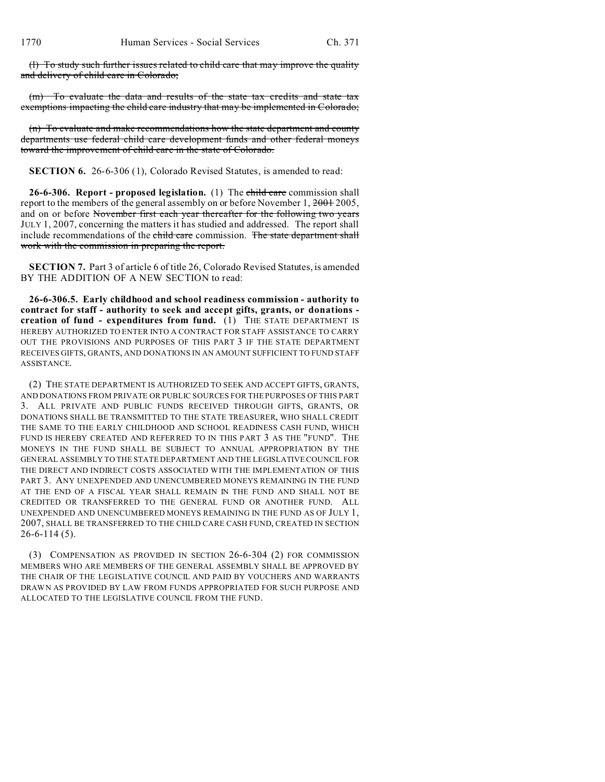(l) To study such further issues related to child care that may improve the quality and delivery of child care in Colorado;

(m) To evaluate the data and results of the state tax credits and state tax exemptions impacting the child care industry that may be implemented in Colorado;

(n) To evaluate and make recommendations how the state department and county departments use federal child care development funds and other federal moneys toward the improvement of child care in the state of Colorado.

**SECTION 6.** 26-6-306 (1), Colorado Revised Statutes, is amended to read:

**26-6-306. Report - proposed legislation.** (1) The child care commission shall report to the members of the general assembly on or before November 1, 2001 2005, and on or before November first each year thereafter for the following two years JULY 1, 2007, concerning the matters it has studied and addressed. The report shall include recommendations of the child care commission. The state department shall work with the commission in preparing the report.

**SECTION 7.** Part 3 of article 6 of title 26, Colorado Revised Statutes, is amended BY THE ADDITION OF A NEW SECTION to read:

**26-6-306.5. Early childhood and school readiness commission - authority to contract for staff - authority to seek and accept gifts, grants, or donations creation of fund - expenditures from fund.** (1) THE STATE DEPARTMENT IS HEREBY AUTHORIZED TO ENTER INTO A CONTRACT FOR STAFF ASSISTANCE TO CARRY OUT THE PROVISIONS AND PURPOSES OF THIS PART 3 IF THE STATE DEPARTMENT RECEIVES GIFTS, GRANTS, AND DONATIONS IN AN AMOUNT SUFFICIENT TO FUND STAFF ASSISTANCE.

(2) THE STATE DEPARTMENT IS AUTHORIZED TO SEEK AND ACCEPT GIFTS, GRANTS, AND DONATIONS FROM PRIVATE OR PUBLIC SOURCES FOR THE PURPOSES OF THIS PART 3. ALL PRIVATE AND PUBLIC FUNDS RECEIVED THROUGH GIFTS, GRANTS, OR DONATIONS SHALL BE TRANSMITTED TO THE STATE TREASURER, WHO SHALL CREDIT THE SAME TO THE EARLY CHILDHOOD AND SCHOOL READINESS CASH FUND, WHICH FUND IS HEREBY CREATED AND REFERRED TO IN THIS PART 3 AS THE "FUND". THE MONEYS IN THE FUND SHALL BE SUBJECT TO ANNUAL APPROPRIATION BY THE GENERAL ASSEMBLY TO THE STATE DEPARTMENT AND THE LEGISLATIVE COUNCIL FOR THE DIRECT AND INDIRECT COSTS ASSOCIATED WITH THE IMPLEMENTATION OF THIS PART 3. ANY UNEXPENDED AND UNENCUMBERED MONEYS REMAINING IN THE FUND AT THE END OF A FISCAL YEAR SHALL REMAIN IN THE FUND AND SHALL NOT BE CREDITED OR TRANSFERRED TO THE GENERAL FUND OR ANOTHER FUND. ALL UNEXPENDED AND UNENCUMBERED MONEYS REMAINING IN THE FUND AS OF JULY 1, 2007, SHALL BE TRANSFERRED TO THE CHILD CARE CASH FUND, CREATED IN SECTION 26-6-114 (5).

(3) COMPENSATION AS PROVIDED IN SECTION 26-6-304 (2) FOR COMMISSION MEMBERS WHO ARE MEMBERS OF THE GENERAL ASSEMBLY SHALL BE APPROVED BY THE CHAIR OF THE LEGISLATIVE COUNCIL AND PAID BY VOUCHERS AND WARRANTS DRAWN AS PROVIDED BY LAW FROM FUNDS APPROPRIATED FOR SUCH PURPOSE AND ALLOCATED TO THE LEGISLATIVE COUNCIL FROM THE FUND.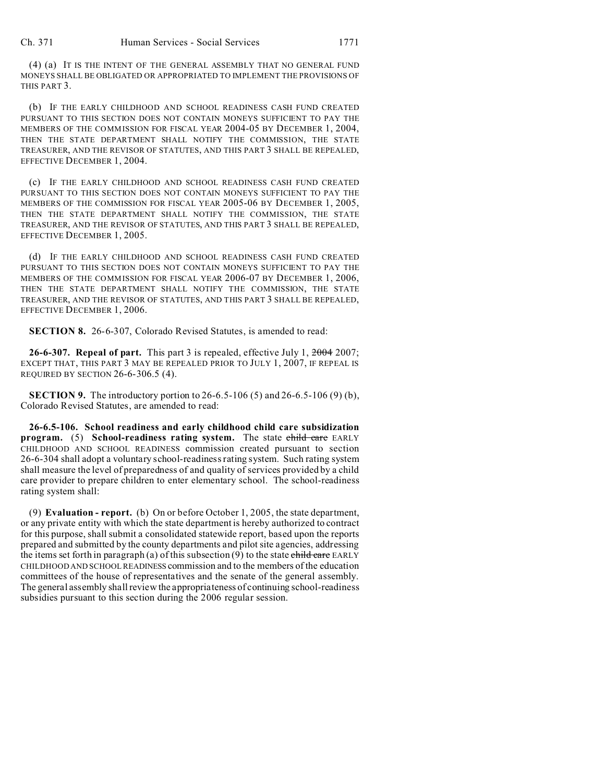(4) (a) IT IS THE INTENT OF THE GENERAL ASSEMBLY THAT NO GENERAL FUND MONEYS SHALL BE OBLIGATED OR APPROPRIATED TO IMPLEMENT THE PROVISIONS OF THIS PART 3.

(b) IF THE EARLY CHILDHOOD AND SCHOOL READINESS CASH FUND CREATED PURSUANT TO THIS SECTION DOES NOT CONTAIN MONEYS SUFFICIENT TO PAY THE MEMBERS OF THE COMMISSION FOR FISCAL YEAR 2004-05 BY DECEMBER 1, 2004, THEN THE STATE DEPARTMENT SHALL NOTIFY THE COMMISSION, THE STATE TREASURER, AND THE REVISOR OF STATUTES, AND THIS PART 3 SHALL BE REPEALED, EFFECTIVE DECEMBER 1, 2004.

(c) IF THE EARLY CHILDHOOD AND SCHOOL READINESS CASH FUND CREATED PURSUANT TO THIS SECTION DOES NOT CONTAIN MONEYS SUFFICIENT TO PAY THE MEMBERS OF THE COMMISSION FOR FISCAL YEAR 2005-06 BY DECEMBER 1, 2005, THEN THE STATE DEPARTMENT SHALL NOTIFY THE COMMISSION, THE STATE TREASURER, AND THE REVISOR OF STATUTES, AND THIS PART 3 SHALL BE REPEALED, EFFECTIVE DECEMBER 1, 2005.

(d) IF THE EARLY CHILDHOOD AND SCHOOL READINESS CASH FUND CREATED PURSUANT TO THIS SECTION DOES NOT CONTAIN MONEYS SUFFICIENT TO PAY THE MEMBERS OF THE COMMISSION FOR FISCAL YEAR 2006-07 BY DECEMBER 1, 2006, THEN THE STATE DEPARTMENT SHALL NOTIFY THE COMMISSION, THE STATE TREASURER, AND THE REVISOR OF STATUTES, AND THIS PART 3 SHALL BE REPEALED, EFFECTIVE DECEMBER 1, 2006.

**SECTION 8.** 26-6-307, Colorado Revised Statutes, is amended to read:

**26-6-307. Repeal of part.** This part 3 is repealed, effective July 1, 2004 2007; EXCEPT THAT, THIS PART 3 MAY BE REPEALED PRIOR TO JULY 1, 2007, IF REPEAL IS REQUIRED BY SECTION 26-6-306.5 (4).

**SECTION 9.** The introductory portion to 26-6.5-106 (5) and 26-6.5-106 (9) (b), Colorado Revised Statutes, are amended to read:

**26-6.5-106. School readiness and early childhood child care subsidization program.** (5) **School-readiness rating system.** The state child care EARLY CHILDHOOD AND SCHOOL READINESS commission created pursuant to section 26-6-304 shall adopt a voluntary school-readiness rating system. Such rating system shall measure the level of preparedness of and quality of services provided by a child care provider to prepare children to enter elementary school. The school-readiness rating system shall:

(9) **Evaluation - report.** (b) On or before October 1, 2005, the state department, or any private entity with which the state department is hereby authorized to contract for this purpose, shall submit a consolidated statewide report, based upon the reports prepared and submitted by the county departments and pilot site agencies, addressing the items set forth in paragraph (a) of this subsection (9) to the state child care EARLY CHILDHOOD AND SCHOOL READINESS commission and to the members of the education committees of the house of representatives and the senate of the general assembly. The general assembly shall review the appropriateness of continuing school-readiness subsidies pursuant to this section during the 2006 regular session.